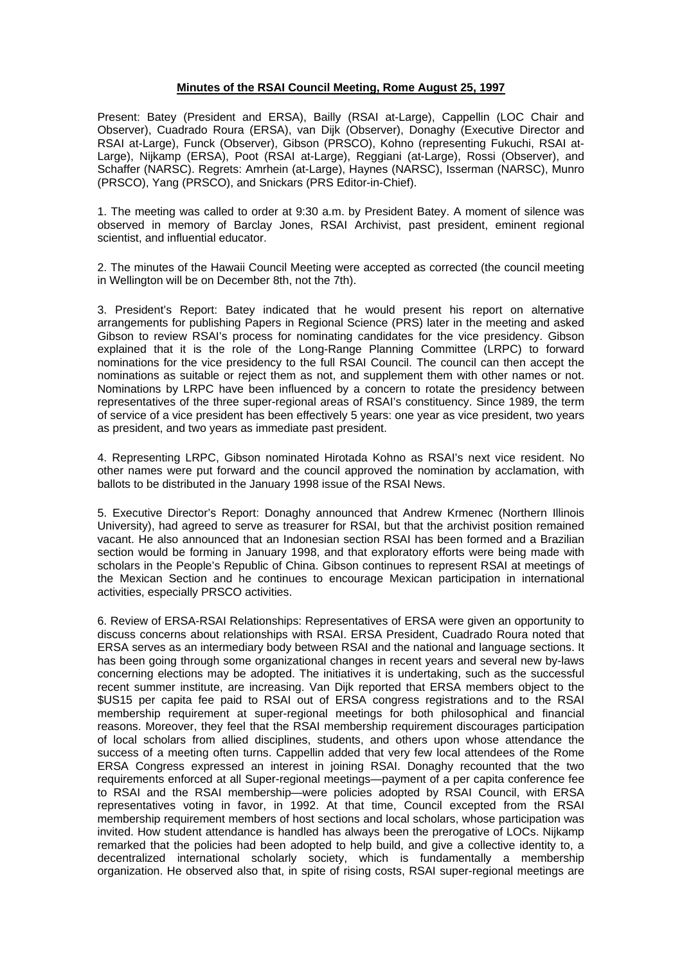## **Minutes of the RSAI Council Meeting, Rome August 25, 1997**

Present: Batey (President and ERSA), Bailly (RSAI at-Large), Cappellin (LOC Chair and Observer), Cuadrado Roura (ERSA), van Dijk (Observer), Donaghy (Executive Director and RSAI at-Large), Funck (Observer), Gibson (PRSCO), Kohno (representing Fukuchi, RSAI at-Large), Nijkamp (ERSA), Poot (RSAI at-Large), Reggiani (at-Large), Rossi (Observer), and Schaffer (NARSC). Regrets: Amrhein (at-Large), Haynes (NARSC), Isserman (NARSC), Munro (PRSCO), Yang (PRSCO), and Snickars (PRS Editor-in-Chief).

1. The meeting was called to order at 9:30 a.m. by President Batey. A moment of silence was observed in memory of Barclay Jones, RSAI Archivist, past president, eminent regional scientist, and influential educator.

2. The minutes of the Hawaii Council Meeting were accepted as corrected (the council meeting in Wellington will be on December 8th, not the 7th).

3. President's Report: Batey indicated that he would present his report on alternative arrangements for publishing Papers in Regional Science (PRS) later in the meeting and asked Gibson to review RSAI's process for nominating candidates for the vice presidency. Gibson explained that it is the role of the Long-Range Planning Committee (LRPC) to forward nominations for the vice presidency to the full RSAI Council. The council can then accept the nominations as suitable or reject them as not, and supplement them with other names or not. Nominations by LRPC have been influenced by a concern to rotate the presidency between representatives of the three super-regional areas of RSAI's constituency. Since 1989, the term of service of a vice president has been effectively 5 years: one year as vice president, two years as president, and two years as immediate past president.

4. Representing LRPC, Gibson nominated Hirotada Kohno as RSAI's next vice resident. No other names were put forward and the council approved the nomination by acclamation, with ballots to be distributed in the January 1998 issue of the RSAI News.

5. Executive Director's Report: Donaghy announced that Andrew Krmenec (Northern Illinois University), had agreed to serve as treasurer for RSAI, but that the archivist position remained vacant. He also announced that an Indonesian section RSAI has been formed and a Brazilian section would be forming in January 1998, and that exploratory efforts were being made with scholars in the People's Republic of China. Gibson continues to represent RSAI at meetings of the Mexican Section and he continues to encourage Mexican participation in international activities, especially PRSCO activities.

6. Review of ERSA-RSAI Relationships: Representatives of ERSA were given an opportunity to discuss concerns about relationships with RSAI. ERSA President, Cuadrado Roura noted that ERSA serves as an intermediary body between RSAI and the national and language sections. It has been going through some organizational changes in recent years and several new by-laws concerning elections may be adopted. The initiatives it is undertaking, such as the successful recent summer institute, are increasing. Van Dijk reported that ERSA members object to the \$US15 per capita fee paid to RSAI out of ERSA congress registrations and to the RSAI membership requirement at super-regional meetings for both philosophical and financial reasons. Moreover, they feel that the RSAI membership requirement discourages participation of local scholars from allied disciplines, students, and others upon whose attendance the success of a meeting often turns. Cappellin added that very few local attendees of the Rome ERSA Congress expressed an interest in joining RSAI. Donaghy recounted that the two requirements enforced at all Super-regional meetings—payment of a per capita conference fee to RSAI and the RSAI membership—were policies adopted by RSAI Council, with ERSA representatives voting in favor, in 1992. At that time, Council excepted from the RSAI membership requirement members of host sections and local scholars, whose participation was invited. How student attendance is handled has always been the prerogative of LOCs. Nijkamp remarked that the policies had been adopted to help build, and give a collective identity to, a decentralized international scholarly society, which is fundamentally a membership organization. He observed also that, in spite of rising costs, RSAI super-regional meetings are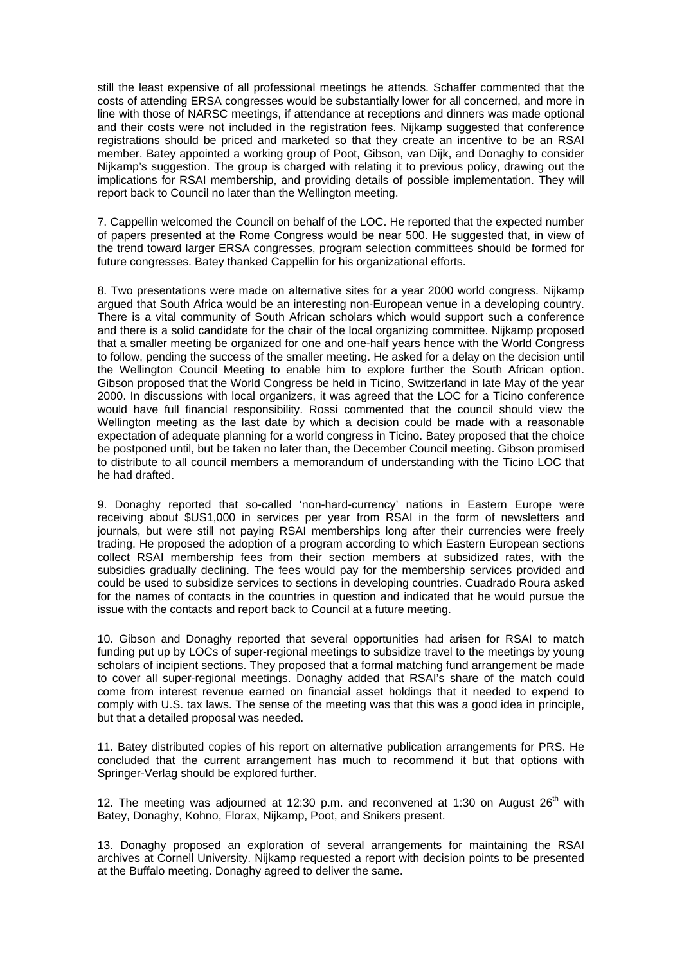still the least expensive of all professional meetings he attends. Schaffer commented that the costs of attending ERSA congresses would be substantially lower for all concerned, and more in line with those of NARSC meetings, if attendance at receptions and dinners was made optional and their costs were not included in the registration fees. Nijkamp suggested that conference registrations should be priced and marketed so that they create an incentive to be an RSAI member. Batey appointed a working group of Poot, Gibson, van Dijk, and Donaghy to consider Nijkamp's suggestion. The group is charged with relating it to previous policy, drawing out the implications for RSAI membership, and providing details of possible implementation. They will report back to Council no later than the Wellington meeting.

7. Cappellin welcomed the Council on behalf of the LOC. He reported that the expected number of papers presented at the Rome Congress would be near 500. He suggested that, in view of the trend toward larger ERSA congresses, program selection committees should be formed for future congresses. Batey thanked Cappellin for his organizational efforts.

8. Two presentations were made on alternative sites for a year 2000 world congress. Nijkamp argued that South Africa would be an interesting non-European venue in a developing country. There is a vital community of South African scholars which would support such a conference and there is a solid candidate for the chair of the local organizing committee. Nijkamp proposed that a smaller meeting be organized for one and one-half years hence with the World Congress to follow, pending the success of the smaller meeting. He asked for a delay on the decision until the Wellington Council Meeting to enable him to explore further the South African option. Gibson proposed that the World Congress be held in Ticino, Switzerland in late May of the year 2000. In discussions with local organizers, it was agreed that the LOC for a Ticino conference would have full financial responsibility. Rossi commented that the council should view the Wellington meeting as the last date by which a decision could be made with a reasonable expectation of adequate planning for a world congress in Ticino. Batey proposed that the choice be postponed until, but be taken no later than, the December Council meeting. Gibson promised to distribute to all council members a memorandum of understanding with the Ticino LOC that he had drafted.

9. Donaghy reported that so-called 'non-hard-currency' nations in Eastern Europe were receiving about \$US1,000 in services per year from RSAI in the form of newsletters and journals, but were still not paying RSAI memberships long after their currencies were freely trading. He proposed the adoption of a program according to which Eastern European sections collect RSAI membership fees from their section members at subsidized rates, with the subsidies gradually declining. The fees would pay for the membership services provided and could be used to subsidize services to sections in developing countries. Cuadrado Roura asked for the names of contacts in the countries in question and indicated that he would pursue the issue with the contacts and report back to Council at a future meeting.

10. Gibson and Donaghy reported that several opportunities had arisen for RSAI to match funding put up by LOCs of super-regional meetings to subsidize travel to the meetings by young scholars of incipient sections. They proposed that a formal matching fund arrangement be made to cover all super-regional meetings. Donaghy added that RSAI's share of the match could come from interest revenue earned on financial asset holdings that it needed to expend to comply with U.S. tax laws. The sense of the meeting was that this was a good idea in principle, but that a detailed proposal was needed.

11. Batey distributed copies of his report on alternative publication arrangements for PRS. He concluded that the current arrangement has much to recommend it but that options with Springer-Verlag should be explored further.

12. The meeting was adjourned at 12:30 p.m. and reconvened at 1:30 on August  $26<sup>th</sup>$  with Batey, Donaghy, Kohno, Florax, Nijkamp, Poot, and Snikers present.

13. Donaghy proposed an exploration of several arrangements for maintaining the RSAI archives at Cornell University. Nijkamp requested a report with decision points to be presented at the Buffalo meeting. Donaghy agreed to deliver the same.